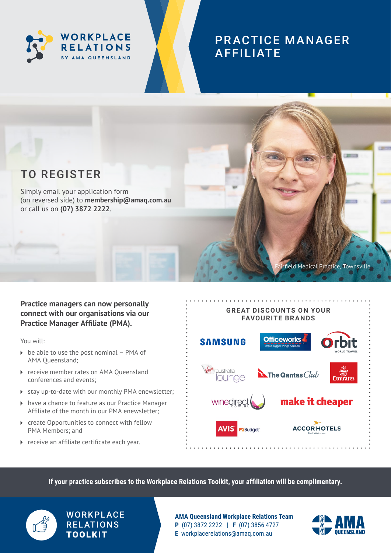

# PR ACTICE MANAGER AFFILIATE



Simply email your application form (on reversed side) to **[membership@amaq.com.au](mailto:membership%40amaq.com.au?subject=)** or call us on **(07) 3872 2222**.

## **Practice managers can now personally connect with our organisations via our Practice Manager Affiliate (PMA).**

You will:

- $\triangleright$  be able to use the post nominal PMA of AMA Queensland;
- ▶ receive member rates on AMA Oueensland conferences and events;
- stay up-to-date with our monthly PMA enewsletter;
- ▶ have a chance to feature as our Practice Manager Affiliate of the month in our PMA enewsletter;
- ▶ create Opportunities to connect with fellow PMA Members; and
- ▶ receive an affiliate certificate each year.



**If your practice subscribes to the Workplace Relations Toolkit, your affiliation will be complimentary.** 



## **WORKPLACE RELATIONS** TOOLKIT

**AMA Queensland Workplace Relations Team P** (07) 3872 2222 **| F** (07) 3856 4727 **E** [workplacerelations@amaq.com.au](mailto:workplacerelations%40amaq.com.au?subject=)



irfield Medical Practice, Townsville